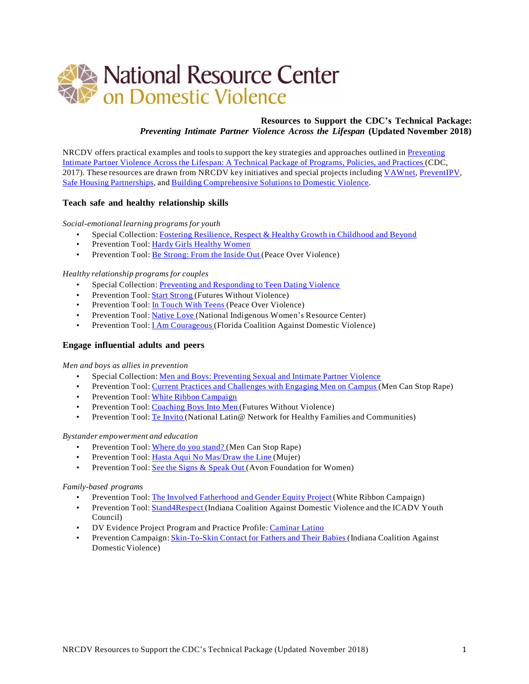

# **Resources to Support the CDC's Technical Package:** *Preventing Intimate Partner Violence Across the Lifespan* **(Updated November 2018)**

NRCDV offers practical examples and tools to support the key strategies and approaches outlined in [Preventing](https://www.cdc.gov/violenceprevention/pdf/ipv-technicalpackages.pdf) Intimate Partner Violence Across the Lifespan: A Technical Package of [Programs,](https://www.cdc.gov/violenceprevention/pdf/ipv-technicalpackages.pdf) Policies, and Practices (CDC, 2017). These resources are drawn from NRCDV key initiatives and special projects including [VAWnet,](http://vawnet.org/) [PreventIPV,](http://www.preventipv.org/) Safe Housing [Partnerships,](http://safehousingpartnerships.org/) and Building [Comprehensive](http://www.bcsdv.org/) Solutions to Domestic Violence.

## **Teach safe and healthy relationship skills**

*Social-emotional learning programsfor youth*

- Special Collection: Fostering [Resilience,](http://vawnet.org/sc/fostering-resilience-respect-healthy-growth-childhood-and-beyond) Respect & Healthy Growth in Childhood and Beyond
- Prevention Tool: Hardy Girls [Healthy](http://www.preventipv.org/materials/hardy-girls-healthy-women) Women
- Prevention Tool: Be [Strong:](http://www.preventipv.org/materials/be-strong-inside-out) From the Inside Out (Peace Over Violence)

### *Healthy relationship programs for couples*

- Special Collection: Preventing and [Responding](http://vawnet.org/sc/preventing-and-responding-teen-dating-violence) to Teen Dating Violence
- Prevention Tool: **Start [Strong](http://www.preventipv.org/materials/start-strong-online-toolkit)** (Futures Without Violence)
- Prevention Tool: In [Touch](http://www.preventipv.org/materials/touch-teens-relationship-violence-prevention-curriculum-youth-ages-12-19) With Teens (Peace Over Violence)
- Prevention Tool: [Native](http://www.preventipv.org/materials/native-love) Love (National Indigenous Women's Resource Center)
- Prevention Tool: I Am [Courageous](http://www.preventipv.org/materials/i-am-courageous) (Florida Coalition Against Domestic Violence)

## **Engage influential adults and peers**

#### *Men and boys as allies in prevention*

- Special Collection: Men and Boys: [Preventing](http://vawnet.org/sc/men-and-boys-preventing-sexual-and-intimate-partner-violence) Sexual and Intimate Partner Violence
- Prevention Tool: Current Practices and [Challenges](http://www.preventipv.org/materials/current-practices-and-challenges-engaging-men-campus) with Engaging Men on Campus (Men Can Stop Rape)
- Prevention Tool: White Ribbon [Campaign](http://www.preventipv.org/materials/white-ribbon-campaign)
- Prevention Tool: [Coaching](http://www.preventipv.org/materials/coaching-boys-men-coaches-leadership-program) Boys Into Men (Futures Without Violence)
- Prevention Tool: Te [Invito](http://www.preventipv.org/materials/te-invito-working-latino-men-toolkit) (National Latin@ Network for Healthy Families and Communities)

#### *Bystander empowerment and education*

- Prevention Tool: [Where](http://www.preventipv.org/materials/where-do-you-stand) do you stand? (Men Can Stop Rape)
- Prevention Tool: Hasta Aqui No [Mas/Draw](http://www.preventipv.org/materials/%C2%A1hasta-aqui-no-mas) the Line (Mujer)
- Prevention Tool: See the Signs & [Speak](http://www.preventipv.org/materials/see-signs-speak-out-become-bystander) Out (Avon Foundation for Women)

#### *Family-based programs*

- Prevention Tool: The Involved [Fatherhood](http://www.preventipv.org/materials/involved-fatherhood-and-gender-equity-project) and Gender Equity Project (White Ribbon Campaign)
- Prevention Tool: [Stand4Respect](http://www.preventipv.org/materials/stand4respect) (Indiana Coalition Against Domestic Violence and the ICADV Youth Council)
- DV Evidence Project Program and Practice Profile: [Caminar](http://www.dvevidenceproject.org/wp-content/uploads/CaminarLatinoProfile.pdf) Latino
- Prevention Campaign: [Skin-To-Skin](http://www.icadvinc.org/wp-content/uploads/2010/07/skin-brochure.pdf) Contact for Fathers and Their Babies (Indiana Coalition Against DomesticViolence)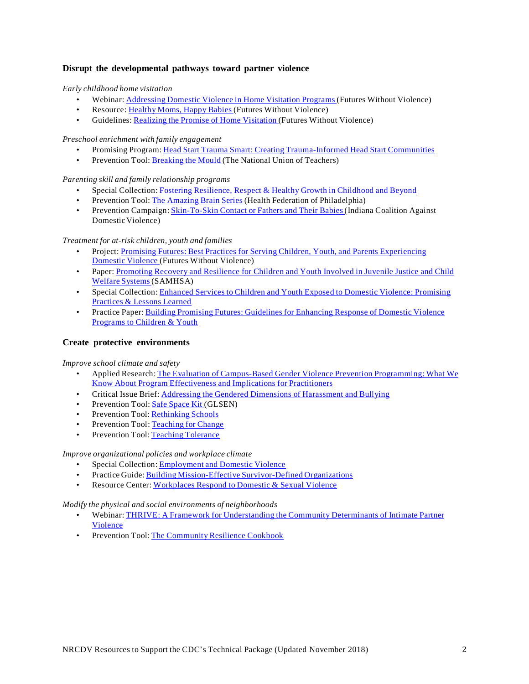# **Disrupt the developmental pathways toward partner violence**

### *Early childhood home visitation*

- Webinar: [Addressing](https://www.futureswithoutviolence.org/addressing-domestic-violence-in-home-visitation-settings/) Domestic Violence in Home Visitation Programs (Futures Without Violence)
- Resource: [Healthy](https://www.futureswithoutviolence.org/home-visitation/) Moms, Happy Babies (Futures Without Violence)
- Guidelines: Realizing the Promise of Home [Visitation](https://www.futureswithoutviolence.org/realizing-the-promise-of-home-visitation/) (Futures Without Violence)

## *Preschool enrichment with family engagement*

- Promising Program: Head Start Trauma Smart: Creating [Trauma-Informed](http://vawnet.org/material/head-start-trauma-smart-creating-trauma-informed-head-start-communities) Head Start Communities
- Prevention Tool: [Breaking](http://www.preventipv.org/materials/breaking-mould) the Mould (The National Union of Teachers)

# *Parenting skill and family relationship programs*

- Special Collection: Fostering [Resilience,](http://vawnet.org/sc/fostering-resilience-respect-healthy-growth-childhood-and-beyond) Respect & Healthy Growth in Childhood and Beyond
- Prevention Tool: The [Amazing](http://www.preventipv.org/materials/amazing-brain-series) Brain Series (Health Federation of Philadelphia)
- Prevention Campaign: [Skin-To-Skin](http://www.icadvinc.org/wp-content/uploads/2010/07/skin-brochure.pdf) Contact or Fathers and Their Babies(Indiana Coalition Against DomesticViolence)

# *Treatment for at-risk children, youth and families*

- Project: Promising Futures: Best Practices for Serving Children, Youth, and Parents [Experiencing](http://promising.futureswithoutviolence.org/) [Domestic](http://promising.futureswithoutviolence.org/) Violence (Futures Without Violence)
- Paper: [Promoting](http://vawnet.org/material/promoting-recovery-and-resilience-children-and-youth-involved-juvenile-justice-and-child) Recovery and Resilience for Children and Youth Involved in Juvenile Justice and Child Welfare [Systems\(](http://vawnet.org/material/promoting-recovery-and-resilience-children-and-youth-involved-juvenile-justice-and-child)SAMHSA)
- Special Collection: Enhanced Services to Children and Youth Exposed to Domestic Violence: [Promising](http://vawnet.org/sc/enhanced-services-children-and-youth-exposed-domestic-violence-promising-practices-lessons) [Practices](http://vawnet.org/sc/enhanced-services-children-and-youth-exposed-domestic-violence-promising-practices-lessons) & Lessons Learned
- Practice Paper: Building Promising Futures: [Guidelines](http://vawnet.org/material/building-promising-futures-guidelines-enhancing-response-domestic-violence-programs) for Enhancing Response of Domestic Violence [Programs](http://vawnet.org/material/building-promising-futures-guidelines-enhancing-response-domestic-violence-programs) to Children & Youth

# **Create protective environments**

## *Improve school climate and safety*

- Applied Research: The Evaluation of [Campus-Based](http://vawnet.org/material/evaluation-campus-based-gender-violence-prevention-programming-what-we-know-about-program) Gender Violence Prevention Programming: What We Know About Program [Effectiveness](http://vawnet.org/material/evaluation-campus-based-gender-violence-prevention-programming-what-we-know-about-program) and Implications for Practitioners
- Critical Issue Brief: Addressing the Gendered [Dimensions](http://vawnet.org/material/addressing-gendered-dimensions-harassment-and-bullying-what-domestic-and-sexual-violence) of Harassment and Bullying
- Prevention Tool: Safe [Space](http://www.preventipv.org/materials/glsen-safe-space-kit) Kit (GLSEN)
- Prevention Tool: [Rethinking](http://www.preventipv.org/materials/rethinking-schools) Schools
- Prevention Tool: [Teaching](http://www.preventipv.org/materials/teaching-change-building-social-justice-starting-classroom) for Change
- Prevention Tool: Teaching [Tolerance](http://www.preventipv.org/materials/teaching-tolerance)

## *Improve organizational policies and workplace climate*

- Special Collection: **[Employment](http://vawnet.org/sc/employment-and-domestic-violence) and Domestic Violence**
- Practice Guide: Building [Mission-Effective](http://vawnet.org/material/building-mission-effective-survivor-defined-organizations) Survivor-Defined Organizations
- Resource Center: [Workplaces](http://www.workplacesrespond.org/) Respond to Domestic & Sexual Violence

## *Modify the physical and social environments of neighborhoods*

- Webinar: THRIVE: A Framework for [Understanding](http://vawnet.org/material/thrive-framework-understanding-community-determinants-intimate-partner-violence) the Community Determinants of Intimate Partner [Violence](http://vawnet.org/material/thrive-framework-understanding-community-determinants-intimate-partner-violence)
- Prevention Tool: The [Community](http://www.preventipv.org/materials/community-resilience-cookbook) Resilience Cookbook